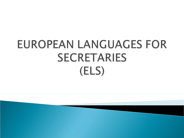# EUROPEAN LANGUAGES FOR **SECRETARIES** (ELS)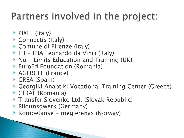#### Partners involved in the project:

- ▶ PIXEL (Italy)
- ▶ Connectis (Italy)
- ▶ Comune di Firenze (Italy)
- ITI IPIA Leonardo da Vinci (Italy)
- $\triangleright$  No Limits Education and Training (UK)
- EuroEd Foundation (Romania)
- ▶ AGERCEL (France)
- ▶ CREA (Spain)
- Georgiki Anaptiki Vocational Training Center (Greece)
- CIDAF (Romania)
- ▶ Transfer Slovenko Ltd. (Slovak Republic)
- Bildunsgwerk (Germany)
- Kompetanse meglerenas (Norway)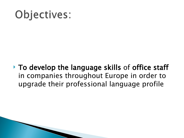## Objectives:

 To develop the language skills of office staff in companies throughout Europe in order to upgrade their professional language profile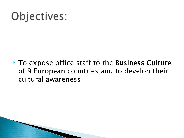### Objectives:

▶ To expose office staff to the Business Culture of 9 European countries and to develop their cultural awareness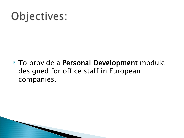### Objectives:

▶ To provide a Personal Development module designed for office staff in European companies.

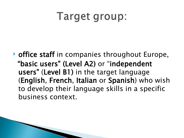#### Target group:

**• office staff** in companies throughout Europe, "basic users" (Level A2) or "independent users" (Level B1) in the target language (English, French, Italian or Spanish) who wish to develop their language skills in a specific business context.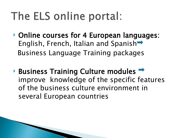### The ELS online portal:

- ▶ Online courses for 4 European languages: English, French, Italian and Spanish<sup>-></sup> Business Language Training packages
- Business Training Culture modules  $\rightarrow$ improve knowledge of the specific features of the business culture environment in several European countries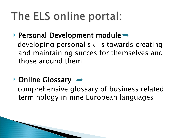## The ELS online portal:

Personal Development module  $\rightarrow$ 

 developing personal skills towards creating and maintaining succes for themselves and those around them

 $\rightarrow$  Online Glossary  $\rightarrow$ 

 comprehensive glossary of business related terminology in nine European languages